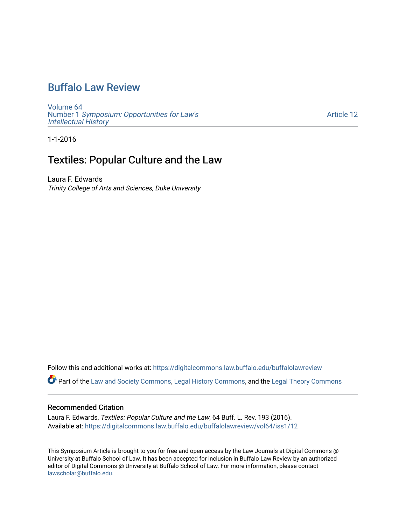# [Buffalo Law Review](https://digitalcommons.law.buffalo.edu/buffalolawreview)

[Volume 64](https://digitalcommons.law.buffalo.edu/buffalolawreview/vol64) Number 1 [Symposium: Opportunities for Law's](https://digitalcommons.law.buffalo.edu/buffalolawreview/vol64/iss1) [Intellectual History](https://digitalcommons.law.buffalo.edu/buffalolawreview/vol64/iss1)

[Article 12](https://digitalcommons.law.buffalo.edu/buffalolawreview/vol64/iss1/12) 

1-1-2016

## Textiles: Popular Culture and the Law

Laura F. Edwards Trinity College of Arts and Sciences, Duke University

Follow this and additional works at: [https://digitalcommons.law.buffalo.edu/buffalolawreview](https://digitalcommons.law.buffalo.edu/buffalolawreview?utm_source=digitalcommons.law.buffalo.edu%2Fbuffalolawreview%2Fvol64%2Fiss1%2F12&utm_medium=PDF&utm_campaign=PDFCoverPages) 

Part of the [Law and Society Commons](http://network.bepress.com/hgg/discipline/853?utm_source=digitalcommons.law.buffalo.edu%2Fbuffalolawreview%2Fvol64%2Fiss1%2F12&utm_medium=PDF&utm_campaign=PDFCoverPages), [Legal History Commons,](http://network.bepress.com/hgg/discipline/904?utm_source=digitalcommons.law.buffalo.edu%2Fbuffalolawreview%2Fvol64%2Fiss1%2F12&utm_medium=PDF&utm_campaign=PDFCoverPages) and the [Legal Theory Commons](http://network.bepress.com/hgg/discipline/369?utm_source=digitalcommons.law.buffalo.edu%2Fbuffalolawreview%2Fvol64%2Fiss1%2F12&utm_medium=PDF&utm_campaign=PDFCoverPages) 

#### Recommended Citation

Laura F. Edwards, Textiles: Popular Culture and the Law, 64 Buff. L. Rev. 193 (2016). Available at: [https://digitalcommons.law.buffalo.edu/buffalolawreview/vol64/iss1/12](https://digitalcommons.law.buffalo.edu/buffalolawreview/vol64/iss1/12?utm_source=digitalcommons.law.buffalo.edu%2Fbuffalolawreview%2Fvol64%2Fiss1%2F12&utm_medium=PDF&utm_campaign=PDFCoverPages)

This Symposium Article is brought to you for free and open access by the Law Journals at Digital Commons @ University at Buffalo School of Law. It has been accepted for inclusion in Buffalo Law Review by an authorized editor of Digital Commons @ University at Buffalo School of Law. For more information, please contact [lawscholar@buffalo.edu](mailto:lawscholar@buffalo.edu).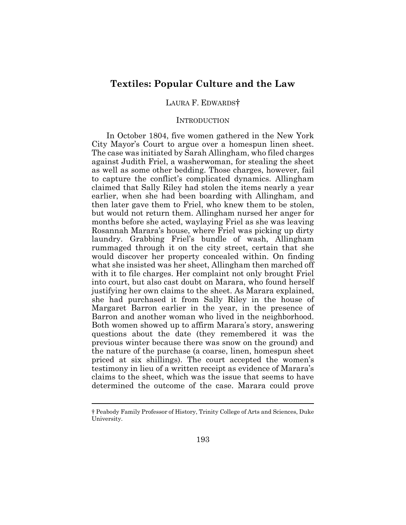## **Textiles: Popular Culture and the Law**

### LAURA F. EDWARDS†

### **INTRODUCTION**

In October 1804, five women gathered in the New York City Mayor's Court to argue over a homespun linen sheet. The case was initiated by Sarah Allingham, who filed charges against Judith Friel, a washerwoman, for stealing the sheet as well as some other bedding. Those charges, however, fail to capture the conflict's complicated dynamics. Allingham claimed that Sally Riley had stolen the items nearly a year earlier, when she had been boarding with Allingham, and then later gave them to Friel, who knew them to be stolen, but would not return them. Allingham nursed her anger for months before she acted, waylaying Friel as she was leaving Rosannah Marara's house, where Friel was picking up dirty laundry. Grabbing Friel's bundle of wash, Allingham rummaged through it on the city street, certain that she would discover her property concealed within. On finding what she insisted was her sheet, Allingham then marched off with it to file charges. Her complaint not only brought Friel into court, but also cast doubt on Marara, who found herself justifying her own claims to the sheet. As Marara explained, she had purchased it from Sally Riley in the house of Margaret Barron earlier in the year, in the presence of Barron and another woman who lived in the neighborhood. Both women showed up to affirm Marara's story, answering questions about the date (they remembered it was the previous winter because there was snow on the ground) and the nature of the purchase (a coarse, linen, homespun sheet priced at six shillings). The court accepted the women's testimony in lieu of a written receipt as evidence of Marara's claims to the sheet, which was the issue that seems to have determined the outcome of the case. Marara could prove

 $\overline{a}$ 

<sup>†</sup> Peabody Family Professor of History, Trinity College of Arts and Sciences, Duke University.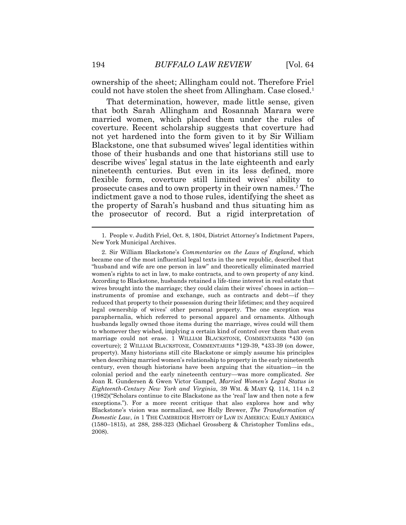ownership of the sheet; Allingham could not. Therefore Friel could not have stolen the sheet from Allingham. Case closed.<sup>1</sup>

That determination, however, made little sense, given that both Sarah Allingham and Rosannah Marara were married women, which placed them under the rules of coverture. Recent scholarship suggests that coverture had not yet hardened into the form given to it by Sir William Blackstone, one that subsumed wives' legal identities within those of their husbands and one that historians still use to describe wives' legal status in the late eighteenth and early nineteenth centuries. But even in its less defined, more flexible form, coverture still limited wives' ability to prosecute cases and to own property in their own names.<sup>2</sup> The indictment gave a nod to those rules, identifying the sheet as the property of Sarah's husband and thus situating him as the prosecutor of record. But a rigid interpretation of

<sup>1</sup>*.* People v. Judith Friel, Oct. 8, 1804, District Attorney's Indictment Papers, New York Municipal Archives.

<sup>2.</sup> Sir William Blackstone's *Commentaries on the Laws of England*, which became one of the most influential legal texts in the new republic, described that "husband and wife are one person in law" and theoretically eliminated married women's rights to act in law, to make contracts, and to own property of any kind. According to Blackstone, husbands retained a life-time interest in real estate that wives brought into the marriage; they could claim their wives' choses in action instruments of promise and exchange, such as contracts and debt—if they reduced that property to their possession during their lifetimes; and they acquired legal ownership of wives' other personal property. The one exception was paraphernalia, which referred to personal apparel and ornaments. Although husbands legally owned those items during the marriage, wives could will them to whomever they wished, implying a certain kind of control over them that even marriage could not erase. 1 WILLIAM BLACKSTONE, COMMENTARIES \*430 (on coverture); 2 WILLIAM BLACKSTONE, COMMENTARIES \*129-39, \*433-39 (on dower, property). Many historians still cite Blackstone or simply assume his principles when describing married women's relationship to property in the early nineteenth century, even though historians have been arguing that the situation—in the colonial period and the early nineteenth century—was more complicated. *See* Joan R. Gundersen & Gwen Victor Gampel, *Married Women's Legal Status in Eighteenth-Century New York and Virginia*, 39 WM. & MARY Q. 114, 114 n.2 (1982)("Scholars continue to cite Blackstone as the 'real' law and then note a few exceptions."). For a more recent critique that also explores how and why Blackstone's vision was normalized, see Holly Brewer, *The Transformation of Domestic Law*, *in* 1 THE CAMBRIDGE HISTORY OF LAW IN AMERICA: EARLY AMERICA (1580–1815), at 288, 288-323 (Michael Grossberg & Christopher Tomlins eds., 2008).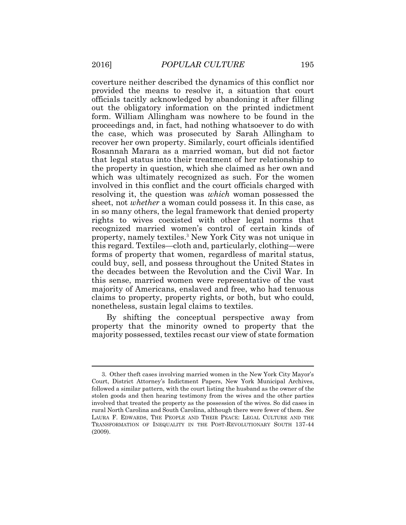coverture neither described the dynamics of this conflict nor provided the means to resolve it, a situation that court officials tacitly acknowledged by abandoning it after filling out the obligatory information on the printed indictment form. William Allingham was nowhere to be found in the proceedings and, in fact, had nothing whatsoever to do with the case, which was prosecuted by Sarah Allingham to recover her own property. Similarly, court officials identified Rosannah Marara as a married woman, but did not factor that legal status into their treatment of her relationship to the property in question, which she claimed as her own and which was ultimately recognized as such. For the women involved in this conflict and the court officials charged with resolving it, the question was *which* woman possessed the sheet, not *whether* a woman could possess it. In this case, as in so many others, the legal framework that denied property rights to wives coexisted with other legal norms that recognized married women's control of certain kinds of property, namely textiles.<sup>3</sup> New York City was not unique in this regard. Textiles—cloth and, particularly, clothing—were forms of property that women, regardless of marital status, could buy, sell, and possess throughout the United States in the decades between the Revolution and the Civil War. In this sense, married women were representative of the vast majority of Americans, enslaved and free, who had tenuous claims to property, property rights, or both, but who could, nonetheless, sustain legal claims to textiles.

By shifting the conceptual perspective away from property that the minority owned to property that the majority possessed, textiles recast our view of state formation

<sup>3.</sup> Other theft cases involving married women in the New York City Mayor's Court, District Attorney's Indictment Papers, New York Municipal Archives, followed a similar pattern, with the court listing the husband as the owner of the stolen goods and then hearing testimony from the wives and the other parties involved that treated the property as the possession of the wives. So did cases in rural North Carolina and South Carolina, although there were fewer of them. *See* LAURA F. EDWARDS, THE PEOPLE AND THEIR PEACE: LEGAL CULTURE AND THE TRANSFORMATION OF INEQUALITY IN THE POST-REVOLUTIONARY SOUTH 137-44 (2009).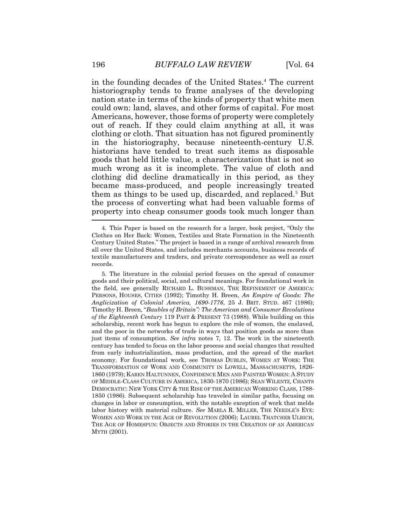in the founding decades of the United States.<sup>4</sup> The current historiography tends to frame analyses of the developing nation state in terms of the kinds of property that white men could own: land, slaves, and other forms of capital. For most Americans, however, those forms of property were completely out of reach. If they could claim anything at all, it was clothing or cloth. That situation has not figured prominently in the historiography, because nineteenth-century U.S. historians have tended to treat such items as disposable goods that held little value, a characterization that is not so much wrong as it is incomplete. The value of cloth and clothing did decline dramatically in this period, as they became mass-produced, and people increasingly treated them as things to be used up, discarded, and replaced.<sup>5</sup> But the process of converting what had been valuable forms of property into cheap consumer goods took much longer than

5. The literature in the colonial period focuses on the spread of consumer goods and their political, social, and cultural meanings. For foundational work in the field, see generally RICHARD L. BUSHMAN, THE REFINEMENT OF AMERICA: PERSONS, HOUSES, CITIES (1992); Timothy H. Breen, *An Empire of Goods: The Anglicization of Colonial America, 1690-1776*, 25 J. BRIT. STUD. 467 (1986); Timothy H. Breen, "*Baubles of Britain": The American and Consumer Revolutions of the Eighteenth Century* 119 PAST & PRESENT 73 (1988). While building on this scholarship, recent work has begun to explore the role of women, the enslaved, and the poor in the networks of trade in ways that position goods as more than just items of consumption. *See infra* notes 7, 12. The work in the nineteenth century has tended to focus on the labor process and social changes that resulted from early industrialization, mass production, and the spread of the market economy. For foundational work, see THOMAS DUBLIN, WOMEN AT WORK: THE TRANSFORMATION OF WORK AND COMMUNITY IN LOWELL, MASSACHUSETTS, 1826- 1860 (1979); KAREN HALTUNNEN, CONFIDENCE MEN AND PAINTED WOMEN: A STUDY OF MIDDLE-CLASS CULTURE IN AMERICA, 1830-1870 (1986); SEAN WILENTZ, CHANTS DEMOCRATIC: NEW YORK CITY & THE RISE OF THE AMERICAN WORKING CLASS, 1788- 1850 (1986). Subsequent scholarship has traveled in similar paths, focusing on changes in labor or consumption, with the notable exception of work that melds labor history with material culture. *See* MARLA R. MILLER, THE NEEDLE'S EYE: WOMEN AND WORK IN THE AGE OF REVOLUTION (2006); LAUREL THATCHER ULRICH, THE AGE OF HOMESPUN: OBJECTS AND STORIES IN THE CREATION OF AN AMERICAN MYTH (2001).

<sup>4.</sup> This Paper is based on the research for a larger, book project, "Only the Clothes on Her Back: Women, Textiles and State Formation in the Nineteenth Century United States." The project is based in a range of archival research from all over the United States, and includes merchants accounts, business records of textile manufacturers and traders, and private correspondence as well as court records.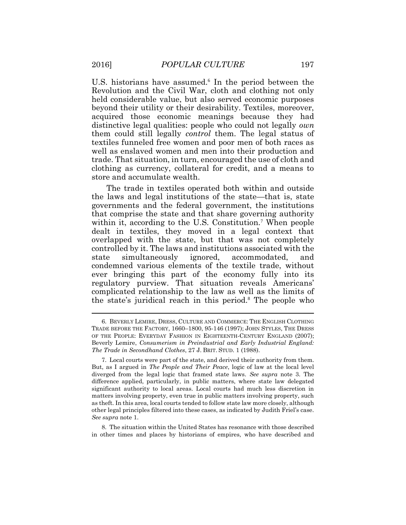U.S. historians have assumed.<sup>6</sup> In the period between the Revolution and the Civil War, cloth and clothing not only held considerable value, but also served economic purposes beyond their utility or their desirability. Textiles, moreover, acquired those economic meanings because they had distinctive legal qualities: people who could not legally *own* them could still legally *control* them. The legal status of textiles funneled free women and poor men of both races as well as enslaved women and men into their production and trade. That situation, in turn, encouraged the use of cloth and clothing as currency, collateral for credit, and a means to store and accumulate wealth.

The trade in textiles operated both within and outside the laws and legal institutions of the state—that is, state governments and the federal government, the institutions that comprise the state and that share governing authority within it, according to the U.S. Constitution.<sup>7</sup> When people dealt in textiles, they moved in a legal context that overlapped with the state, but that was not completely controlled by it. The laws and institutions associated with the state simultaneously ignored, accommodated, and condemned various elements of the textile trade, without ever bringing this part of the economy fully into its regulatory purview. That situation reveals Americans' complicated relationship to the law as well as the limits of the state's juridical reach in this period.<sup>8</sup> The people who

8. The situation within the United States has resonance with those described in other times and places by historians of empires, who have described and

<sup>6.</sup> BEVERLY LEMIRE, DRESS, CULTURE AND COMMERCE: THE ENGLISH CLOTHING TRADE BEFORE THE FACTORY, 1660–1800, 95-146 (1997); JOHN STYLES, THE DRESS OF THE PEOPLE: EVERYDAY FASHION IN EIGHTEENTH-CENTURY ENGLAND (2007); Beverly Lemire, *Consumerism in Preindustrial and Early Industrial England: The Trade in Secondhand Clothes*, 27 J. BRIT. STUD. 1 (1988).

<sup>7.</sup> Local courts were part of the state, and derived their authority from them. But, as I argued in *The People and Their Peace*, logic of law at the local level diverged from the legal logic that framed state laws. *See supra* note 3. The difference applied, particularly, in public matters, where state law delegated significant authority to local areas. Local courts had much less discretion in matters involving property, even true in public matters involving property, such as theft. In this area, local courts tended to follow state law more closely, although other legal principles filtered into these cases, as indicated by Judith Friel's case. *See supra* note 1.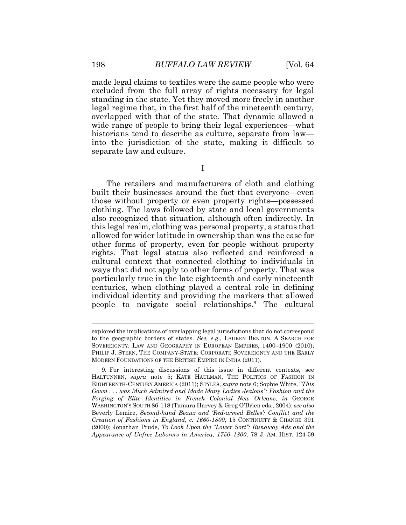made legal claims to textiles were the same people who were excluded from the full array of rights necessary for legal standing in the state. Yet they moved more freely in another legal regime that, in the first half of the nineteenth century, overlapped with that of the state. That dynamic allowed a wide range of people to bring their legal experiences—what historians tend to describe as culture, separate from law into the jurisdiction of the state, making it difficult to separate law and culture.

I

The retailers and manufacturers of cloth and clothing built their businesses around the fact that everyone—even those without property or even property rights—possessed clothing. The laws followed by state and local governments also recognized that situation, although often indirectly. In this legal realm, clothing was personal property, a status that allowed for wider latitude in ownership than was the case for other forms of property, even for people without property rights. That legal status also reflected and reinforced a cultural context that connected clothing to individuals in ways that did not apply to other forms of property. That was particularly true in the late eighteenth and early nineteenth centuries, when clothing played a central role in defining individual identity and providing the markers that allowed people to navigate social relationships.<sup>9</sup> The cultural

explored the implications of overlapping legal jurisdictions that do not correspond to the geographic borders of states. *See, e.g.*, LAUREN BENTON, A SEARCH FOR SOVEREIGNTY: LAW AND GEOGRAPHY IN EUROPEAN EMPIRES, 1400–1900 (2010); PHILIP J. STERN, THE COMPANY-STATE: CORPORATE SOVEREIGNTY AND THE EARLY MODERN FOUNDATIONS OF THE BRITISH EMPIRE IN INDIA (2011).

<sup>9.</sup> For interesting discussions of this issue in different contexts, see HALTUNNEN, *supra* note 5; KATE HAULMAN, THE POLITICS OF FASHION IN EIGHTEENTH-CENTURY AMERICA (2011); STYLES, *supra* note 6; Sophie White, "*This Gown . . . was Much Admired and Made Many Ladies Jealous": Fashion and the Forging of Elite Identities in French Colonial New Orleans*, *in* GEORGE WASHINGTON'S SOUTH 86-118 (Tamara Harvey & Greg O'Brien eds., 2004); *see also* Beverly Lemire, *Second-hand Beaux and 'Red-armed Belles': Conflict and the Creation of Fashions in England, c. 1660-1800*, 15 CONTINUITY & CHANGE 391 (2000); Jonathan Prude, *To Look Upon the "Lower Sort": Runaway Ads and the Appearance of Unfree Laborers in America, 1750–1800*, 78 J. AM. HIST. 124-59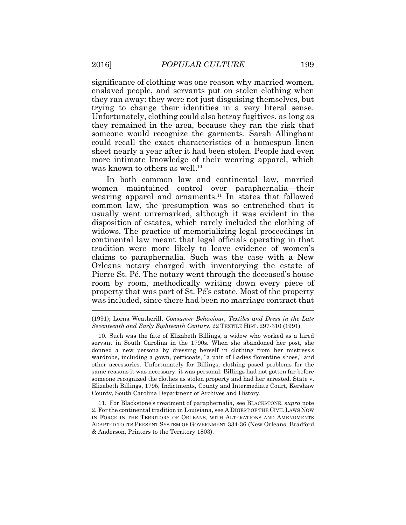significance of clothing was one reason why married women, enslaved people, and servants put on stolen clothing when they ran away: they were not just disguising themselves, but trying to change their identities in a very literal sense. Unfortunately, clothing could also betray fugitives, as long as they remained in the area, because they ran the risk that someone would recognize the garments. Sarah Allingham could recall the exact characteristics of a homespun linen sheet nearly a year after it had been stolen. People had even more intimate knowledge of their wearing apparel, which was known to others as well.<sup>10</sup>

In both common law and continental law, married women maintained control over paraphernalia—their wearing apparel and ornaments.<sup>11</sup> In states that followed common law, the presumption was so entrenched that it usually went unremarked, although it was evident in the disposition of estates, which rarely included the clothing of widows. The practice of memorializing legal proceedings in continental law meant that legal officials operating in that tradition were more likely to leave evidence of women's claims to paraphernalia. Such was the case with a New Orleans notary charged with inventorying the estate of Pierre St. Pé. The notary went through the deceased's house room by room, methodically writing down every piece of property that was part of St. Pé's estate. Most of the property was included, since there had been no marriage contract that

(1991); Lorna Weatherill, *Consumer Behaviour, Textiles and Dress in the Late Seventeenth and Early Eighteenth Century*, 22 TEXTILE HIST. 297-310 (1991).

10. Such was the fate of Elizabeth Billings, a widow who worked as a hired servant in South Carolina in the 1790s. When she abandoned her post, she donned a new persona by dressing herself in clothing from her mistress's wardrobe, including a gown, petticoats, "a pair of Ladies florentine shoes," and other accessories. Unfortunately for Billings, clothing posed problems for the same reasons it was necessary: it was personal. Billings had not gotten far before someone recognized the clothes as stolen property and had her arrested. State v. Elizabeth Billings, 1795, Indictments, County and Intermediate Court, Kershaw County, South Carolina Department of Archives and History.

11. For Blackstone's treatment of paraphernalia, see BLACKSTONE, *supra* note 2. For the continental tradition in Louisiana, see A DIGEST OF THE CIVIL LAWS NOW IN FORCE IN THE TERRITORY OF ORLEANS, WITH ALTERATIONS AND AMENDMENTS ADAPTED TO ITS PRESENT SYSTEM OF GOVERNMENT 334-36 (New Orleans, Bradford & Anderson, Printers to the Territory 1803).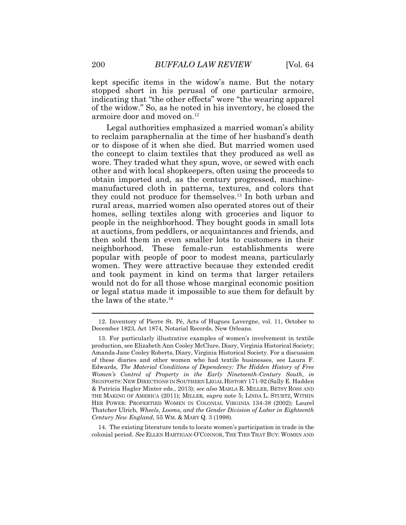kept specific items in the widow's name. But the notary stopped short in his perusal of one particular armoire, indicating that "the other effects" were "the wearing apparel of the widow." So, as he noted in his inventory, he closed the armoire door and moved on.<sup>12</sup>

Legal authorities emphasized a married woman's ability to reclaim paraphernalia at the time of her husband's death or to dispose of it when she died. But married women used the concept to claim textiles that they produced as well as wore. They traded what they spun, wove, or sewed with each other and with local shopkeepers, often using the proceeds to obtain imported and, as the century progressed, machinemanufactured cloth in patterns, textures, and colors that they could not produce for themselves.<sup>13</sup> In both urban and rural areas, married women also operated stores out of their homes, selling textiles along with groceries and liquor to people in the neighborhood. They bought goods in small lots at auctions, from peddlers, or acquaintances and friends, and then sold them in even smaller lots to customers in their neighborhood. These female-run establishments were popular with people of poor to modest means, particularly women. They were attractive because they extended credit and took payment in kind on terms that larger retailers would not do for all those whose marginal economic position or legal status made it impossible to sue them for default by the laws of the state.<sup>14</sup>

14. The existing literature tends to locate women's participation in trade in the colonial period. *See* ELLEN HARTIGAN-O'CONNOR, THE TIES THAT BUY: WOMEN AND

<sup>12.</sup> Inventory of Pierre St. Pé, Acts of Hugues Lavergne, vol. 11, October to December 1823, Act 1874, Notarial Records, New Orleans.

<sup>13.</sup> For particularly illustrative examples of women's involvement in textile production, see Elizabeth Ann Cooley McClure, Diary, Virginia Historical Society; Amanda Jane Cooley Roberts, Diary, Virginia Historical Society. For a discussion of these diaries and other women who had textile businesses, see Laura F. Edwards, *The Material Conditions of Dependency: The Hidden History of Free Women's Control of Property in the Early Nineteenth-Century South*, *in* SIGNPOSTS: NEW DIRECTIONS IN SOUTHERN LEGAL HISTORY 171-92 (Sally E. Hadden & Patricia Hagler Minter eds., 2013); *see also* MARLA R. MILLER, BETSY ROSS AND THE MAKING OF AMERICA (2011); MILLER*, supra* note 5; LINDA L. STURTZ, WITHIN HER POWER: PROPERTIED WOMEN IN COLONIAL VIRGINIA 134-38 (2002); Laurel Thatcher Ulrich, *Wheels, Looms, and the Gender Division of Labor in Eighteenth Century New England*, 55 WM. & MARY Q. 3 (1998).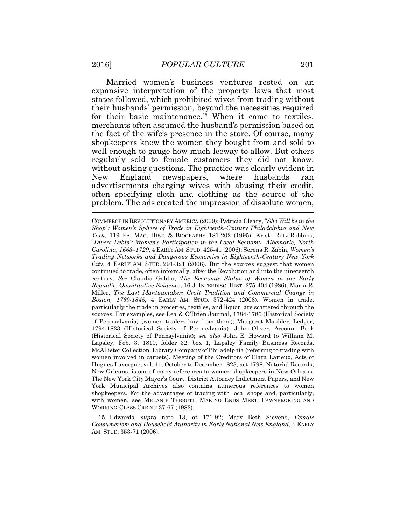Married women's business ventures rested on an expansive interpretation of the property laws that most states followed, which prohibited wives from trading without their husbands' permission, beyond the necessities required for their basic maintenance.<sup>15</sup> When it came to textiles, merchants often assumed the husband's permission based on the fact of the wife's presence in the store. Of course, many shopkeepers knew the women they bought from and sold to well enough to gauge how much leeway to allow. But others regularly sold to female customers they did not know, without asking questions. The practice was clearly evident in New England newspapers, where husbands ran advertisements charging wives with abusing their credit, often specifying cloth and clothing as the source of the problem. The ads created the impression of dissolute women,

COMMERCE IN REVOLUTIONARY AMERICA (2009); Patricia Cleary, "*She Will be in the Shop": Women's Sphere of Trade in Eighteenth-Century Philadelphia and New York*, 119 PA. MAG. HIST. & BIOGRAPHY 181-202 (1995); Kristi Rutz-Robbins, "*Divers Debts": Women's Participation in the Local Economy, Albemarle, North Carolina, 1663–1729*, 4 EARLY AM. STUD. 425-41 (2006); Serena R. Zabin, *Women's Trading Networks and Dangerous Economies in Eighteenth-Century New York City*, 4 EARLY AM. STUD. 291-321 (2006). But the sources suggest that women continued to trade, often informally, after the Revolution and into the nineteenth century. *See* Claudia Goldin, *The Economic Status of Women in the Early Republic: Quantitative Evidence*, 16 J. INTERDISC. HIST. 375-404 (1986); Marla R. Miller, *The Last Mantuamaker: Craft Tradition and Commercial Change in Boston, 1760-1845*, 4 EARLY AM. STUD. 372-424 (2006). Women in trade, particularly the trade in groceries, textiles, and liquor, are scattered through the sources. For examples, see Lea & O'Brien Journal, 1784-1786 (Historical Society of Pennsylvania) (women traders buy from them); Margaret Moulder, Ledger, 1794-1833 (Historical Society of Pennsylvania); John Oliver, Account Book (Historical Society of Pennsylvania); *see also* John E. Howard to William M. Lapsley, Feb. 3, 1810, folder 32, box 1, Lapsley Family Business Records, McAllister Collection, Library Company of Philadelphia (referring to trading with women involved in carpets). Meeting of the Creditors of Clara Larieux, Acts of Hugues Lavergne, vol. 11, October to December 1823, act 1798, Notarial Records, New Orleans, is one of many references to women shopkeepers in New Orleans. The New York City Mayor's Court, District Attorney Indictment Papers, and New York Municipal Archives also contains numerous references to women shopkeepers. For the advantages of trading with local shops and, particularly, with women, see MELANIE TEBBUTT, MAKING ENDS MEET: PAWNBROKING AND WORKING-CLASS CREDIT 37-67 (1983).

15. Edwards, *supra* note 13, at 171-92; Mary Beth Sievens, *Female Consumerism and Household Authority in Early National New England*, 4 EARLY AM. STUD. 353-71 (2006).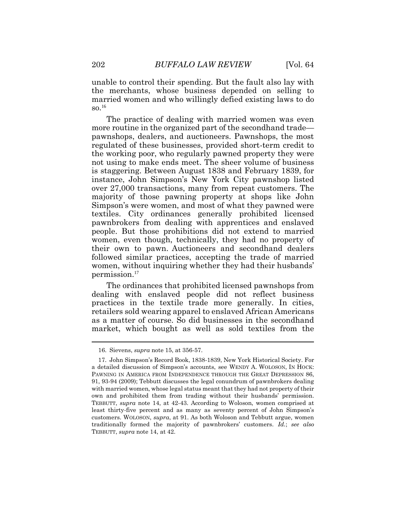unable to control their spending. But the fault also lay with the merchants, whose business depended on selling to married women and who willingly defied existing laws to do  $\mathrm{SO}$ <sup>16</sup>

The practice of dealing with married women was even more routine in the organized part of the secondhand trade pawnshops, dealers, and auctioneers. Pawnshops, the most regulated of these businesses, provided short-term credit to the working poor, who regularly pawned property they were not using to make ends meet. The sheer volume of business is staggering. Between August 1838 and February 1839, for instance, John Simpson's New York City pawnshop listed over 27,000 transactions, many from repeat customers. The majority of those pawning property at shops like John Simpson's were women, and most of what they pawned were textiles. City ordinances generally prohibited licensed pawnbrokers from dealing with apprentices and enslaved people. But those prohibitions did not extend to married women, even though, technically, they had no property of their own to pawn. Auctioneers and secondhand dealers followed similar practices, accepting the trade of married women, without inquiring whether they had their husbands' permission.<sup>17</sup>

The ordinances that prohibited licensed pawnshops from dealing with enslaved people did not reflect business practices in the textile trade more generally. In cities, retailers sold wearing apparel to enslaved African Americans as a matter of course. So did businesses in the secondhand market, which bought as well as sold textiles from the

<sup>16.</sup> Sievens, *supra* note 15, at 356-57.

<sup>17.</sup> John Simpson's Record Book, 1838-1839, New York Historical Society. For a detailed discussion of Simpson's accounts, see WENDY A. WOLOSON, IN HOCK: PAWNING IN AMERICA FROM INDEPENDENCE THROUGH THE GREAT DEPRESSION 86, 91, 93-94 (2009); Tebbutt discusses the legal conundrum of pawnbrokers dealing with married women, whose legal status meant that they had not property of their own and prohibited them from trading without their husbands' permission. TEBBUTT, *supra* note 14, at 42-43. According to Woloson, women comprised at least thirty-five percent and as many as seventy percent of John Simpson's customers. WOLOSON, *supra*, at 91. As both Woloson and Tebbutt argue, women traditionally formed the majority of pawnbrokers' customers. *Id.*; *see also* TEBBUTT, *supra* note 14, at 42.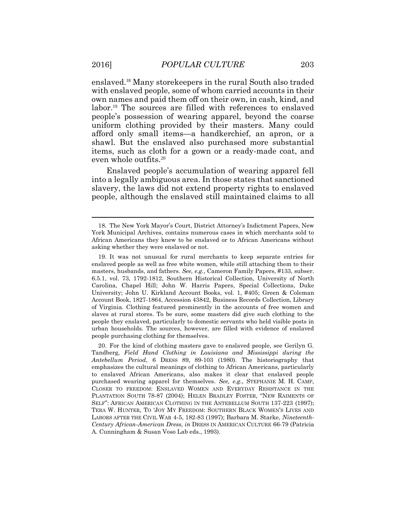enslaved.<sup>18</sup> Many storekeepers in the rural South also traded with enslaved people, some of whom carried accounts in their own names and paid them off on their own, in cash, kind, and labor.<sup>19</sup> The sources are filled with references to enslaved people's possession of wearing apparel, beyond the coarse uniform clothing provided by their masters. Many could afford only small items—a handkerchief, an apron, or a shawl. But the enslaved also purchased more substantial items, such as cloth for a gown or a ready-made coat, and even whole outfits.<sup>20</sup>

Enslaved people's accumulation of wearing apparel fell into a legally ambiguous area. In those states that sanctioned slavery, the laws did not extend property rights to enslaved people, although the enslaved still maintained claims to all

<sup>18.</sup> The New York Mayor's Court, District Attorney's Indictment Papers, New York Municipal Archives, contains numerous cases in which merchants sold to African Americans they knew to be enslaved or to African Americans without asking whether they were enslaved or not.

<sup>19.</sup> It was not unusual for rural merchants to keep separate entries for enslaved people as well as free white women, while still attaching them to their masters, husbands, and fathers. *See, e.g.*, Cameron Family Papers, #133, subser. 6.5.1, vol. 73, 1792-1812, Southern Historical Collection, University of North Carolina, Chapel Hill; John W. Harris Papers, Special Collections, Duke University; John U. Kirkland Account Books, vol. 1, #405; Green & Coleman Account Book, 1827-1864, Accession 43842, Business Records Collection, Library of Virginia. Clothing featured prominently in the accounts of free women and slaves at rural stores. To be sure, some masters did give such clothing to the people they enslaved, particularly to domestic servants who held visible posts in urban households. The sources, however, are filled with evidence of enslaved people purchasing clothing for themselves.

<sup>20.</sup> For the kind of clothing masters gave to enslaved people, see Gerilyn G. Tandberg, *Field Hand Clothing in Louisiana and Mississippi during the Antebellum Period*, 6 DRESS 89, 89-103 (1980). The historiography that emphasizes the cultural meanings of clothing to African Americans, particularly to enslaved African Americans, also makes it clear that enslaved people purchased wearing apparel for themselves. *See, e.g.*, STEPHANIE M. H. CAMP, CLOSER TO FREEDOM: ENSLAVED WOMEN AND EVERYDAY RESISTANCE IN THE PLANTATION SOUTH 78-87 (2004); HELEN BRADLEY FOSTER, "NEW RAIMENTS OF SELF": AFRICAN AMERICAN CLOTHING IN THE ANTEBELLUM SOUTH 137-223 (1997); TERA W. HUNTER, TO 'JOY MY FREEDOM: SOUTHERN BLACK WOMEN'S LIVES AND LABORS AFTER THE CIVIL WAR 4-5, 182-83 (1997); Barbara M. Starke, *Nineteenth-Century African-American Dress*, *in* DRESS IN AMERICAN CULTURE 66-79 (Patricia A. Cunningham & Susan Voso Lab eds., 1993).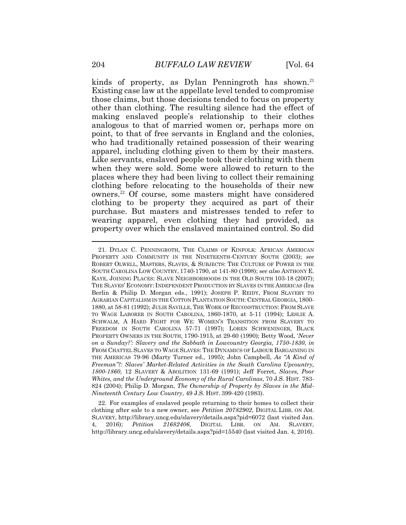kinds of property, as Dylan Penningroth has shown.<sup>21</sup> Existing case law at the appellate level tended to compromise those claims, but those decisions tended to focus on property other than clothing. The resulting silence had the effect of making enslaved people's relationship to their clothes analogous to that of married women or, perhaps more on point, to that of free servants in England and the colonies, who had traditionally retained possession of their wearing apparel, including clothing given to them by their masters. Like servants, enslaved people took their clothing with them when they were sold. Some were allowed to return to the places where they had been living to collect their remaining clothing before relocating to the households of their new owners.<sup>22</sup> Of course, some masters might have considered clothing to be property they acquired as part of their purchase. But masters and mistresses tended to refer to wearing apparel, even clothing they had provided, as property over which the enslaved maintained control. So did

22. For examples of enslaved people returning to their homes to collect their clothing after sale to a new owner, see *Petition 20782902*, DIGITAL LIBR. ON AM. SLAVERY, http://library.uncg.edu/slavery/details.aspx?pid=6072 (last visited Jan. 4, 2016); *Petition 21682406*, DIGITAL LIBR. ON AM. SLAVERY, http://library.uncg.edu/slavery/details.aspx?pid=15540 (last visited Jan. 4, 2016).

<sup>21.</sup> DYLAN C. PENNINGROTH, THE CLAIMS OF KINFOLK: AFRICAN AMERICAN PROPERTY AND COMMUNITY IN THE NINETEENTH-CENTURY SOUTH (2003); *see*  ROBERT OLWELL, MASTERS, SLAVES, & SUBJECTS: THE CULTURE OF POWER IN THE SOUTH CAROLINA LOW COUNTRY, 1740-1790, at 141-80 (1998); s*ee also* ANTHONY E. KAYE, JOINING PLACES: SLAVE NEIGHBORHOODS IN THE OLD SOUTH 103-18 (2007); THE SLAVES' ECONOMY: INDEPENDENT PRODUCTION BY SLAVES IN THE AMERICAS (Ira Berlin & Philip D. Morgan eds., 1991); JOSEPH P. REIDY, FROM SLAVERY TO AGRARIAN CAPITALISM IN THE COTTON PLANTATION SOUTH: CENTRAL GEORGIA, 1800- 1880, at 58-81 (1992); JULIE SAVILLE, THE WORK OF RECONSTRUCTION: FROM SLAVE TO WAGE LABORER IN SOUTH CAROLINA, 1860-1870, at 5-11 (1994); LESLIE A. SCHWALM, A HARD FIGHT FOR WE: WOMEN'S TRANSITION FROM SLAVERY TO FREEDOM IN SOUTH CAROLINA 57-71 (1997); LOREN SCHWENINGER, BLACK PROPERTY OWNERS IN THE SOUTH, 1790-1915, at 29-60 (1990); Betty Wood, '*Never on a Sunday?': Slavery and the Sabbath in Lowcountry Georgia, 1750-1830*, *in* FROM CHATTEL SLAVES TO WAGE SLAVES: THE DYNAMICS OF LABOUR BARGAINING IN THE AMERICAS 79-96 (Marty Turner ed., 1995); John Campbell, *As "A Kind of Freeman"?: Slaves' Market-Related Activities in the South Carolina Upcountry, 1800-1860*, 12 SLAVERY & ABOLITION 131-69 (1991); Jeff Forret, *Slaves, Poor Whites, and the Underground Economy of the Rural Carolinas*, 70 J.S. HIST. 783- 824 (2004); Philip D. Morgan, *The Ownership of Property by Slaves in the Mid-Nineteenth Century Low Country*, 49 J.S. HIST. 399-420 (1983).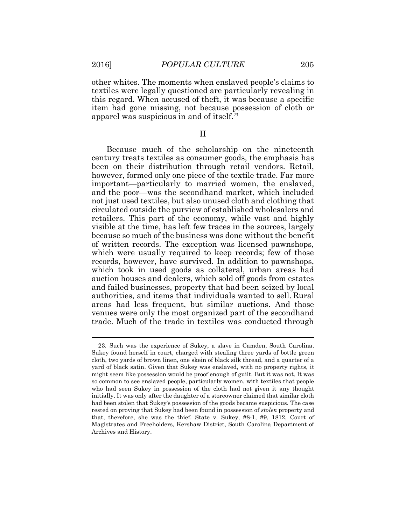$\overline{a}$ 

other whites. The moments when enslaved people's claims to textiles were legally questioned are particularly revealing in this regard. When accused of theft, it was because a specific item had gone missing, not because possession of cloth or apparel was suspicious in and of itself.<sup>23</sup>

II

Because much of the scholarship on the nineteenth century treats textiles as consumer goods, the emphasis has been on their distribution through retail vendors. Retail, however, formed only one piece of the textile trade. Far more important—particularly to married women, the enslaved, and the poor—was the secondhand market, which included not just used textiles, but also unused cloth and clothing that circulated outside the purview of established wholesalers and retailers. This part of the economy, while vast and highly visible at the time, has left few traces in the sources, largely because so much of the business was done without the benefit of written records. The exception was licensed pawnshops, which were usually required to keep records; few of those records, however, have survived. In addition to pawnshops, which took in used goods as collateral, urban areas had auction houses and dealers, which sold off goods from estates and failed businesses, property that had been seized by local authorities, and items that individuals wanted to sell. Rural areas had less frequent, but similar auctions. And those venues were only the most organized part of the secondhand trade. Much of the trade in textiles was conducted through

<sup>23.</sup> Such was the experience of Sukey, a slave in Camden, South Carolina. Sukey found herself in court, charged with stealing three yards of bottle green cloth, two yards of brown linen, one skein of black silk thread, and a quarter of a yard of black satin. Given that Sukey was enslaved, with no property rights, it might seem like possession would be proof enough of guilt. But it was not. It was so common to see enslaved people, particularly women, with textiles that people who had seen Sukey in possession of the cloth had not given it any thought initially. It was only after the daughter of a storeowner claimed that similar cloth had been stolen that Sukey's possession of the goods became suspicious. The case rested on proving that Sukey had been found in possession of *stolen* property and that, therefore, she was the thief. State v. Sukey, #8-1, #9, 1812, Court of Magistrates and Freeholders, Kershaw District, South Carolina Department of Archives and History.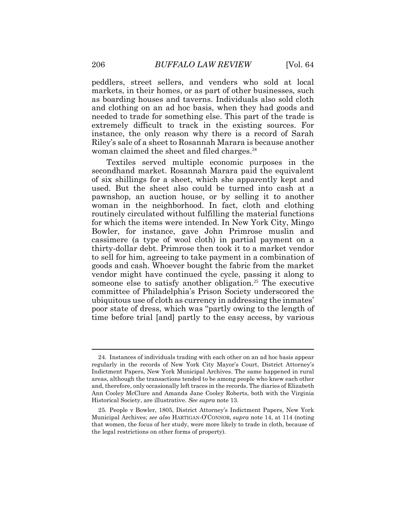peddlers, street sellers, and venders who sold at local markets, in their homes, or as part of other businesses, such as boarding houses and taverns. Individuals also sold cloth and clothing on an ad hoc basis, when they had goods and needed to trade for something else. This part of the trade is extremely difficult to track in the existing sources. For instance, the only reason why there is a record of Sarah Riley's sale of a sheet to Rosannah Marara is because another woman claimed the sheet and filed charges.<sup>24</sup>

Textiles served multiple economic purposes in the secondhand market. Rosannah Marara paid the equivalent of six shillings for a sheet, which she apparently kept and used. But the sheet also could be turned into cash at a pawnshop, an auction house, or by selling it to another woman in the neighborhood. In fact, cloth and clothing routinely circulated without fulfilling the material functions for which the items were intended. In New York City, Mingo Bowler, for instance, gave John Primrose muslin and cassimere (a type of wool cloth) in partial payment on a thirty-dollar debt. Primrose then took it to a market vendor to sell for him, agreeing to take payment in a combination of goods and cash. Whoever bought the fabric from the market vendor might have continued the cycle, passing it along to someone else to satisfy another obligation.<sup>25</sup> The executive committee of Philadelphia's Prison Society underscored the ubiquitous use of cloth as currency in addressing the inmates' poor state of dress, which was "partly owing to the length of time before trial [and] partly to the easy access, by various

<sup>24.</sup> Instances of individuals trading with each other on an ad hoc basis appear regularly in the records of New York City Mayor's Court, District Attorney's Indictment Papers, New York Municipal Archives. The same happened in rural areas, although the transactions tended to be among people who knew each other and, therefore, only occasionally left traces in the records. The diaries of Elizabeth Ann Cooley McClure and Amanda Jane Cooley Roberts, both with the Virginia Historical Society, are illustrative. *See supra* note 13.

<sup>25.</sup> People v Bowler, 1805, District Attorney's Indictment Papers, New York Municipal Archives; *see also* HARTIGAN-O'CONNOR, *supra* note 14, at 114 (noting that women, the focus of her study, were more likely to trade in cloth, because of the legal restrictions on other forms of property).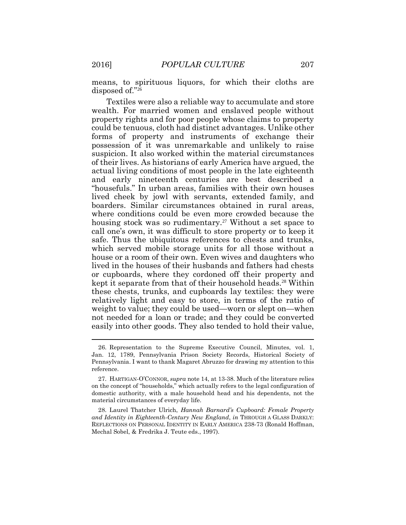means, to spirituous liquors, for which their cloths are disposed of."<sup>26</sup>

Textiles were also a reliable way to accumulate and store wealth. For married women and enslaved people without property rights and for poor people whose claims to property could be tenuous, cloth had distinct advantages. Unlike other forms of property and instruments of exchange their possession of it was unremarkable and unlikely to raise suspicion. It also worked within the material circumstances of their lives. As historians of early America have argued, the actual living conditions of most people in the late eighteenth and early nineteenth centuries are best described a "housefuls." In urban areas, families with their own houses lived cheek by jowl with servants, extended family, and boarders. Similar circumstances obtained in rural areas, where conditions could be even more crowded because the housing stock was so rudimentary.<sup>27</sup> Without a set space to call one's own, it was difficult to store property or to keep it safe. Thus the ubiquitous references to chests and trunks, which served mobile storage units for all those without a house or a room of their own. Even wives and daughters who lived in the houses of their husbands and fathers had chests or cupboards, where they cordoned off their property and kept it separate from that of their household heads.<sup>28</sup> Within these chests, trunks, and cupboards lay textiles: they were relatively light and easy to store, in terms of the ratio of weight to value; they could be used—worn or slept on—when not needed for a loan or trade; and they could be converted easily into other goods. They also tended to hold their value,

28. Laurel Thatcher Ulrich, *Hannah Barnard's Cupboard: Female Property and Identity in Eighteenth-Century New England*, *in* THROUGH A GLASS DARKLY: REFLECTIONS ON PERSONAL IDENTITY IN EARLY AMERICA 238-73 (Ronald Hoffman, Mechal Sobel, & Fredrika J. Teute eds., 1997).

<sup>26.</sup> Representation to the Supreme Executive Council, Minutes, vol. 1, Jan. 12, 1789, Pennsylvania Prison Society Records, Historical Society of Pennsylvania. I want to thank Magaret Abruzzo for drawing my attention to this reference.

<sup>27.</sup> HARTIGAN-O'CONNOR, *supra* note 14, at 13-38. Much of the literature relies on the concept of "households," which actually refers to the legal configuration of domestic authority, with a male household head and his dependents, not the material circumstances of everyday life.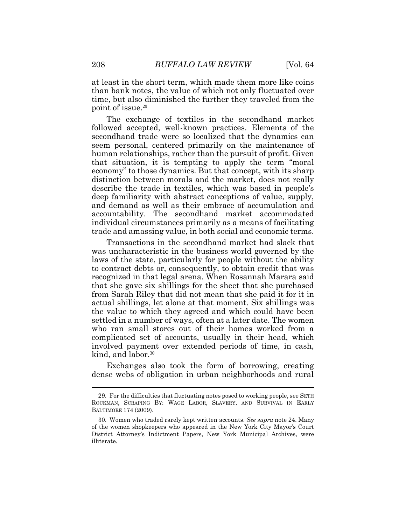at least in the short term, which made them more like coins than bank notes, the value of which not only fluctuated over time, but also diminished the further they traveled from the point of issue.<sup>29</sup>

The exchange of textiles in the secondhand market followed accepted, well-known practices. Elements of the secondhand trade were so localized that the dynamics can seem personal, centered primarily on the maintenance of human relationships, rather than the pursuit of profit. Given that situation, it is tempting to apply the term "moral economy" to those dynamics. But that concept, with its sharp distinction between morals and the market, does not really describe the trade in textiles, which was based in people's deep familiarity with abstract conceptions of value, supply, and demand as well as their embrace of accumulation and accountability. The secondhand market accommodated individual circumstances primarily as a means of facilitating trade and amassing value, in both social and economic terms.

Transactions in the secondhand market had slack that was uncharacteristic in the business world governed by the laws of the state, particularly for people without the ability to contract debts or, consequently, to obtain credit that was recognized in that legal arena. When Rosannah Marara said that she gave six shillings for the sheet that she purchased from Sarah Riley that did not mean that she paid it for it in actual shillings, let alone at that moment. Six shillings was the value to which they agreed and which could have been settled in a number of ways, often at a later date. The women who ran small stores out of their homes worked from a complicated set of accounts, usually in their head, which involved payment over extended periods of time, in cash, kind, and labor.<sup>30</sup>

Exchanges also took the form of borrowing, creating dense webs of obligation in urban neighborhoods and rural

<sup>29.</sup> For the difficulties that fluctuating notes posed to working people, see SETH ROCKMAN, SCRAPING BY: WAGE LABOR, SLAVERY, AND SURVIVAL IN EARLY BALTIMORE 174 (2009).

<sup>30.</sup> Women who traded rarely kept written accounts. *See supra* note 24. Many of the women shopkeepers who appeared in the New York City Mayor's Court District Attorney's Indictment Papers, New York Municipal Archives, were illiterate.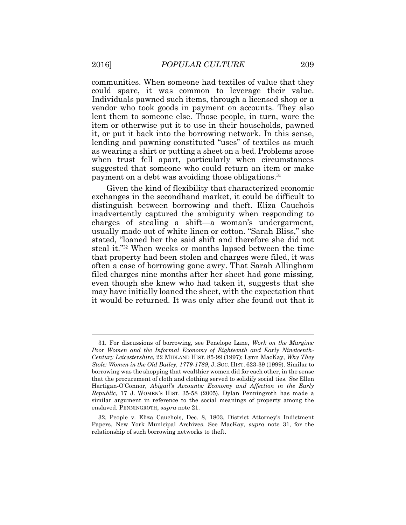communities. When someone had textiles of value that they could spare, it was common to leverage their value. Individuals pawned such items, through a licensed shop or a vendor who took goods in payment on accounts. They also lent them to someone else. Those people, in turn, wore the item or otherwise put it to use in their households, pawned it, or put it back into the borrowing network. In this sense, lending and pawning constituted "uses" of textiles as much as wearing a shirt or putting a sheet on a bed. Problems arose when trust fell apart, particularly when circumstances suggested that someone who could return an item or make payment on a debt was avoiding those obligations.<sup>31</sup>

Given the kind of flexibility that characterized economic exchanges in the secondhand market, it could be difficult to distinguish between borrowing and theft. Eliza Cauchois inadvertently captured the ambiguity when responding to charges of stealing a shift—a woman's undergarment, usually made out of white linen or cotton. "Sarah Bliss," she stated, "loaned her the said shift and therefore she did not steal it."<sup>32</sup> When weeks or months lapsed between the time that property had been stolen and charges were filed, it was often a case of borrowing gone awry. That Sarah Allingham filed charges nine months after her sheet had gone missing, even though she knew who had taken it, suggests that she may have initially loaned the sheet, with the expectation that it would be returned. It was only after she found out that it

<sup>31.</sup> For discussions of borrowing, see Penelope Lane, *Work on the Margins: Poor Women and the Informal Economy of Eighteenth and Early Nineteenth-Century Leicestershire*, 22 MIDLAND HIST. 85-99 (1997); Lynn MacKay, *Why They Stole: Women in the Old Bailey, 1779-1789*, J. SOC. HIST. 623-39 (1999). Similar to borrowing was the shopping that wealthier women did for each other, in the sense that the procurement of cloth and clothing served to solidify social ties. *See* Ellen Hartigan-O'Connor, *Abigail's Accounts: Economy and Affection in the Early Republic*, 17 J. WOMEN'S HIST. 35-58 (2005). Dylan Penningroth has made a similar argument in reference to the social meanings of property among the enslaved. PENNINGROTH, *supra* note 21.

<sup>32</sup>*.* People v. Eliza Cauchois, Dec. 8, 1803, District Attorney's Indictment Papers, New York Municipal Archives. See MacKay, *supra* note 31, for the relationship of such borrowing networks to theft.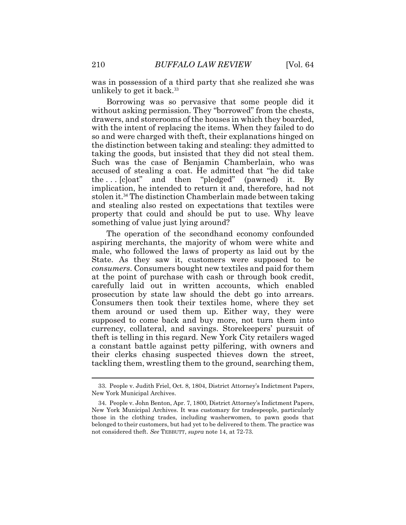was in possession of a third party that she realized she was unlikely to get it back.<sup>33</sup>

Borrowing was so pervasive that some people did it without asking permission. They "borrowed" from the chests, drawers, and storerooms of the houses in which they boarded, with the intent of replacing the items. When they failed to do so and were charged with theft, their explanations hinged on the distinction between taking and stealing: they admitted to taking the goods, but insisted that they did not steal them. Such was the case of Benjamin Chamberlain, who was accused of stealing a coat. He admitted that "he did take the . . . [c]oat" and then "pledged" (pawned) it. By implication, he intended to return it and, therefore, had not stolen it.<sup>34</sup> The distinction Chamberlain made between taking and stealing also rested on expectations that textiles were property that could and should be put to use. Why leave something of value just lying around?

The operation of the secondhand economy confounded aspiring merchants, the majority of whom were white and male, who followed the laws of property as laid out by the State. As they saw it, customers were supposed to be *consumers*. Consumers bought new textiles and paid for them at the point of purchase with cash or through book credit, carefully laid out in written accounts, which enabled prosecution by state law should the debt go into arrears. Consumers then took their textiles home, where they set them around or used them up. Either way, they were supposed to come back and buy more, not turn them into currency, collateral, and savings. Storekeepers' pursuit of theft is telling in this regard. New York City retailers waged a constant battle against petty pilfering, with owners and their clerks chasing suspected thieves down the street, tackling them, wrestling them to the ground, searching them,

<sup>33.</sup> People v. Judith Friel, Oct. 8, 1804, District Attorney's Indictment Papers, New York Municipal Archives.

<sup>34.</sup> People v. John Benton, Apr. 7, 1800, District Attorney's Indictment Papers, New York Municipal Archives. It was customary for tradespeople, particularly those in the clothing trades, including washerwomen, to pawn goods that belonged to their customers, but had yet to be delivered to them. The practice was not considered theft. *See* TEBBUTT, *supra* note 14, at 72-73.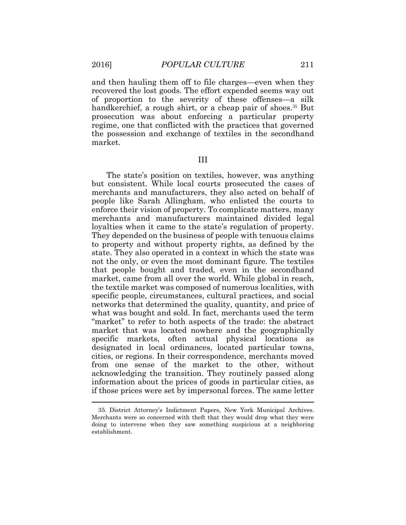$\overline{a}$ 

and then hauling them off to file charges—even when they recovered the lost goods. The effort expended seems way out of proportion to the severity of these offenses—a silk handkerchief, a rough shirt, or a cheap pair of shoes.<sup>35</sup> But prosecution was about enforcing a particular property regime, one that conflicted with the practices that governed the possession and exchange of textiles in the secondhand market.

### III

The state's position on textiles, however, was anything but consistent. While local courts prosecuted the cases of merchants and manufacturers, they also acted on behalf of people like Sarah Allingham, who enlisted the courts to enforce their vision of property. To complicate matters, many merchants and manufacturers maintained divided legal loyalties when it came to the state's regulation of property. They depended on the business of people with tenuous claims to property and without property rights, as defined by the state. They also operated in a context in which the state was not the only, or even the most dominant figure. The textiles that people bought and traded, even in the secondhand market, came from all over the world. While global in reach, the textile market was composed of numerous localities, with specific people, circumstances, cultural practices, and social networks that determined the quality, quantity, and price of what was bought and sold. In fact, merchants used the term "market" to refer to both aspects of the trade: the abstract market that was located nowhere and the geographically specific markets, often actual physical locations as designated in local ordinances, located particular towns, cities, or regions. In their correspondence, merchants moved from one sense of the market to the other, without acknowledging the transition. They routinely passed along information about the prices of goods in particular cities, as if those prices were set by impersonal forces. The same letter

<sup>35.</sup> District Attorney's Indictment Papers, New York Municipal Archives. Merchants were so concerned with theft that they would drop what they were doing to intervene when they saw something suspicious at a neighboring establishment.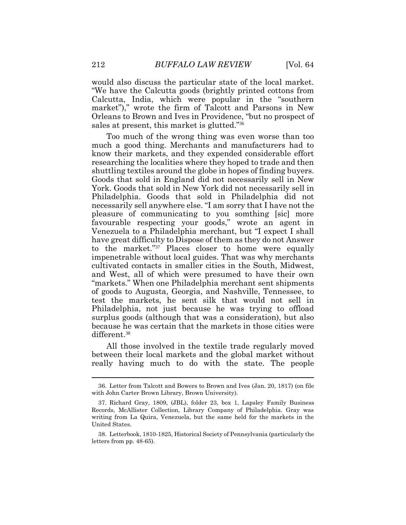would also discuss the particular state of the local market. "We have the Calcutta goods (brightly printed cottons from Calcutta, India, which were popular in the "southern market")," wrote the firm of Talcott and Parsons in New Orleans to Brown and Ives in Providence, "but no prospect of sales at present, this market is glutted."<sup>36</sup>

Too much of the wrong thing was even worse than too much a good thing. Merchants and manufacturers had to know their markets, and they expended considerable effort researching the localities where they hoped to trade and then shuttling textiles around the globe in hopes of finding buyers. Goods that sold in England did not necessarily sell in New York. Goods that sold in New York did not necessarily sell in Philadelphia. Goods that sold in Philadelphia did not necessarily sell anywhere else. "I am sorry that I have not the pleasure of communicating to you somthing [sic] more favourable respecting your goods," wrote an agent in Venezuela to a Philadelphia merchant, but "I expect I shall have great difficulty to Dispose of them as they do not Answer to the market."<sup>37</sup> Places closer to home were equally impenetrable without local guides. That was why merchants cultivated contacts in smaller cities in the South, Midwest, and West, all of which were presumed to have their own "markets." When one Philadelphia merchant sent shipments of goods to Augusta, Georgia, and Nashville, Tennessee, to test the markets, he sent silk that would not sell in Philadelphia, not just because he was trying to offload surplus goods (although that was a consideration), but also because he was certain that the markets in those cities were different.<sup>38</sup>

All those involved in the textile trade regularly moved between their local markets and the global market without really having much to do with the state. The people

<sup>36.</sup> Letter from Talcott and Bowers to Brown and Ives (Jan. 20, 1817) (on file with John Carter Brown Library, Brown University).

<sup>37.</sup> Richard Gray, 1809, (JBL), folder 23, box 1, Lapsley Family Business Records, McAllister Collection, Library Company of Philadelphia. Gray was writing from La Quira, Venezuela, but the same held for the markets in the United States.

<sup>38.</sup> Letterbook, 1810-1825, Historical Society of Pennsylvania (particularly the letters from pp. 48-65).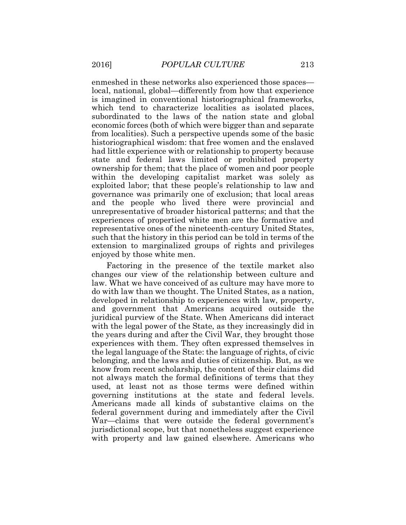enmeshed in these networks also experienced those spaces local, national, global—differently from how that experience is imagined in conventional historiographical frameworks, which tend to characterize localities as isolated places, subordinated to the laws of the nation state and global economic forces (both of which were bigger than and separate from localities). Such a perspective upends some of the basic historiographical wisdom: that free women and the enslaved had little experience with or relationship to property because state and federal laws limited or prohibited property ownership for them; that the place of women and poor people within the developing capitalist market was solely as exploited labor; that these people's relationship to law and governance was primarily one of exclusion; that local areas and the people who lived there were provincial and unrepresentative of broader historical patterns; and that the experiences of propertied white men are the formative and representative ones of the nineteenth-century United States, such that the history in this period can be told in terms of the extension to marginalized groups of rights and privileges enjoyed by those white men.

Factoring in the presence of the textile market also changes our view of the relationship between culture and law. What we have conceived of as culture may have more to do with law than we thought. The United States, as a nation, developed in relationship to experiences with law, property, and government that Americans acquired outside the juridical purview of the State. When Americans did interact with the legal power of the State, as they increasingly did in the years during and after the Civil War, they brought those experiences with them. They often expressed themselves in the legal language of the State: the language of rights, of civic belonging, and the laws and duties of citizenship. But, as we know from recent scholarship, the content of their claims did not always match the formal definitions of terms that they used, at least not as those terms were defined within governing institutions at the state and federal levels. Americans made all kinds of substantive claims on the federal government during and immediately after the Civil War—claims that were outside the federal government's jurisdictional scope, but that nonetheless suggest experience with property and law gained elsewhere. Americans who